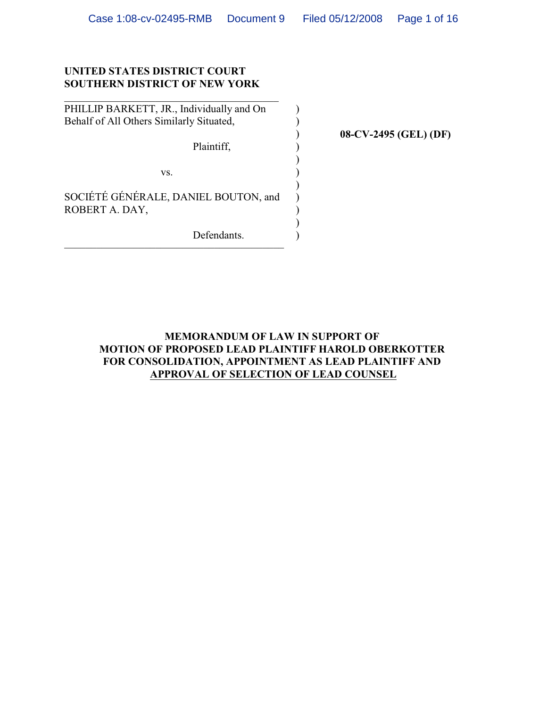$\lambda$ ) ) ) ) ) ) )  $\mathcal{L}$ ) )

## **UNITED STATES DISTRICT COURT SOUTHERN DISTRICT OF NEW YORK**

PHILLIP BARKETT, JR., Individually and On Behalf of All Others Similarly Situated,

 $\mathcal{L}_\mathcal{L}$  , which is a set of the set of the set of the set of the set of the set of the set of the set of the set of the set of the set of the set of the set of the set of the set of the set of the set of the set of

Plaintiff,

vs.

SOCIÉTÉ GÉNÉRALE, DANIEL BOUTON, and ROBERT A. DAY,

Defendants.  $L$  vividation. **08-CV-2495 (GEL) (DF)**

# **MEMORANDUM OF LAW IN SUPPORT OF MOTION OF PROPOSED LEAD PLAINTIFF HAROLD OBERKOTTER FOR CONSOLIDATION, APPOINTMENT AS LEAD PLAINTIFF AND APPROVAL OF SELECTION OF LEAD COUNSEL**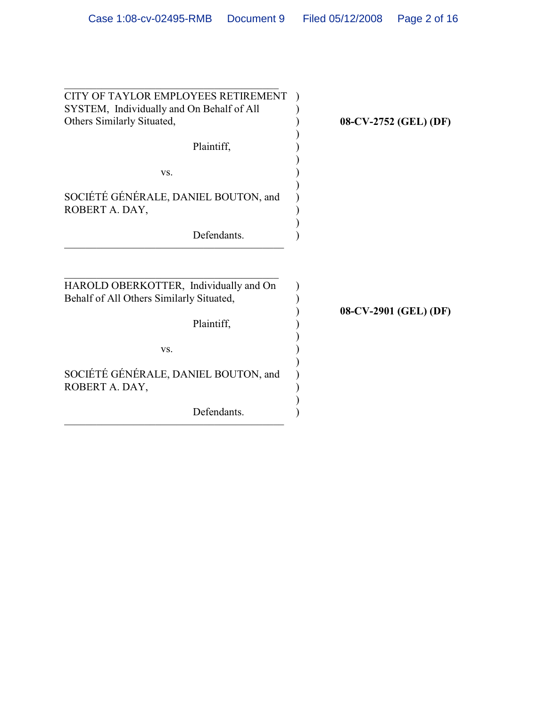| CITY OF TAYLOR EMPLOYEES RETIREMENT<br>SYSTEM, Individually and On Behalf of All<br>Others Similarly Situated,<br>Plaintiff, | 08-CV-2752 (GEL) (DF) |
|------------------------------------------------------------------------------------------------------------------------------|-----------------------|
| VS.                                                                                                                          |                       |
| SOCIÉTÉ GÉNÉRALE, DANIEL BOUTON, and<br>ROBERT A. DAY,                                                                       |                       |
| Defendants.                                                                                                                  |                       |
| HAROLD OBERKOTTER, Individually and On<br>Behalf of All Others Similarly Situated,<br>Plaintiff,                             | 08-CV-2901 (GEL) (DF) |
| VS.<br>SOCIÉTÉ GÉNÉRALE, DANIEL BOUTON, and<br>ROBERT A. DAY,                                                                |                       |
| Defendants.                                                                                                                  |                       |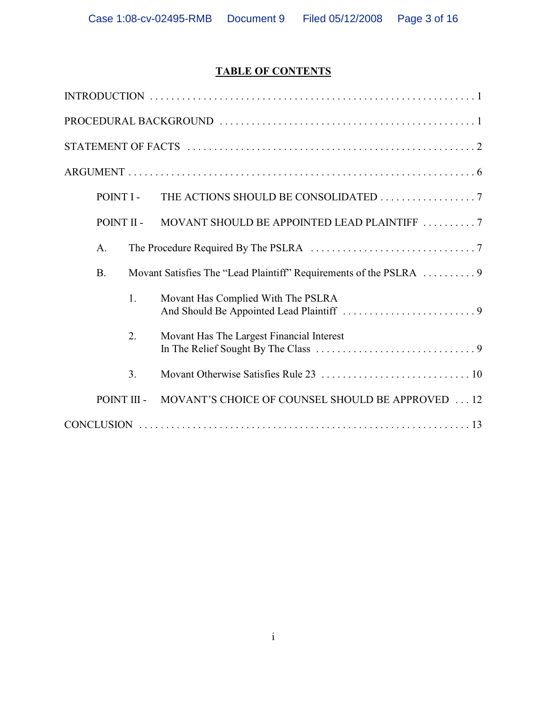# **TABLE OF CONTENTS**

| POINT I -   | THE ACTIONS SHOULD BE CONSOLIDATED 7                               |
|-------------|--------------------------------------------------------------------|
| POINT II -  | MOVANT SHOULD BE APPOINTED LEAD PLAINTIFF 7                        |
| A.          |                                                                    |
| <b>B.</b>   | Movant Satisfies The "Lead Plaintiff" Requirements of the PSLRA  9 |
| 1.          | Movant Has Complied With The PSLRA                                 |
| 2.          | Movant Has The Largest Financial Interest                          |
| 3.          |                                                                    |
| POINT III - | MOVANT'S CHOICE OF COUNSEL SHOULD BE APPROVED 12                   |
|             |                                                                    |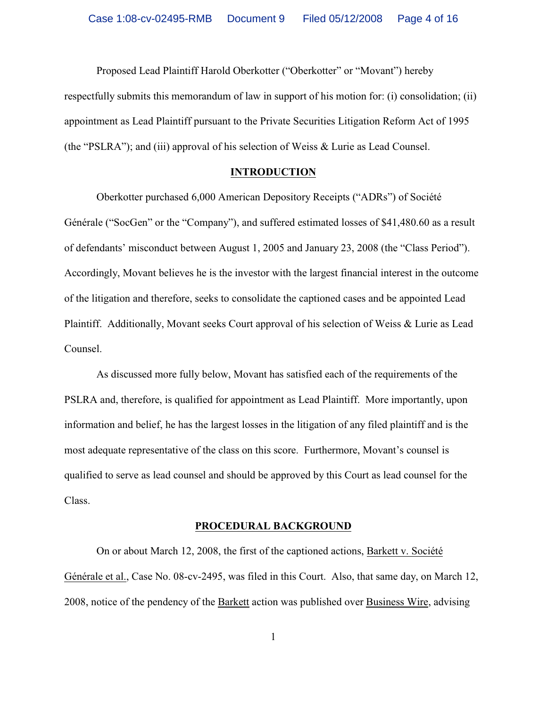Proposed Lead Plaintiff Harold Oberkotter ("Oberkotter" or "Movant") hereby respectfully submits this memorandum of law in support of his motion for: (i) consolidation; (ii) appointment as Lead Plaintiff pursuant to the Private Securities Litigation Reform Act of 1995 (the "PSLRA"); and (iii) approval of his selection of Weiss & Lurie as Lead Counsel.

#### **INTRODUCTION**

Oberkotter purchased 6,000 American Depository Receipts ("ADRs") of Société Générale ("SocGen" or the "Company"), and suffered estimated losses of \$41,480.60 as a result of defendants' misconduct between August 1, 2005 and January 23, 2008 (the "Class Period"). Accordingly, Movant believes he is the investor with the largest financial interest in the outcome of the litigation and therefore, seeks to consolidate the captioned cases and be appointed Lead Plaintiff. Additionally, Movant seeks Court approval of his selection of Weiss & Lurie as Lead Counsel.

As discussed more fully below, Movant has satisfied each of the requirements of the PSLRA and, therefore, is qualified for appointment as Lead Plaintiff. More importantly, upon information and belief, he has the largest losses in the litigation of any filed plaintiff and is the most adequate representative of the class on this score. Furthermore, Movant's counsel is qualified to serve as lead counsel and should be approved by this Court as lead counsel for the Class.

#### **PROCEDURAL BACKGROUND**

On or about March 12, 2008, the first of the captioned actions, Barkett v. Société Générale et al., Case No. 08-cv-2495, was filed in this Court. Also, that same day, on March 12, 2008, notice of the pendency of the Barkett action was published over Business Wire, advising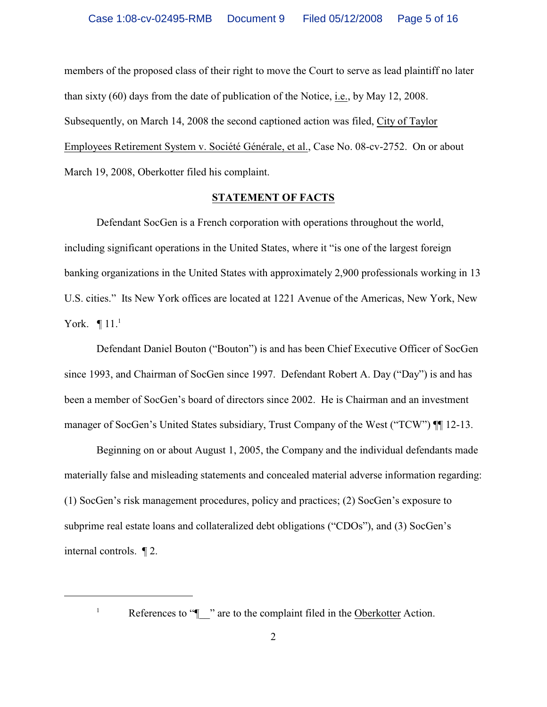members of the proposed class of their right to move the Court to serve as lead plaintiff no later than sixty (60) days from the date of publication of the Notice, i.e., by May 12, 2008. Subsequently, on March 14, 2008 the second captioned action was filed, City of Taylor Employees Retirement System v. Société Générale, et al., Case No. 08-cv-2752. On or about March 19, 2008, Oberkotter filed his complaint.

#### **STATEMENT OF FACTS**

Defendant SocGen is a French corporation with operations throughout the world, including significant operations in the United States, where it "is one of the largest foreign banking organizations in the United States with approximately 2,900 professionals working in 13 U.S. cities." Its New York offices are located at 1221 Avenue of the Americas, New York, New York.  $\P$  11.<sup>1</sup>

Defendant Daniel Bouton ("Bouton") is and has been Chief Executive Officer of SocGen since 1993, and Chairman of SocGen since 1997. Defendant Robert A. Day ("Day") is and has been a member of SocGen's board of directors since 2002. He is Chairman and an investment manager of SocGen's United States subsidiary, Trust Company of the West ("TCW")  $\P$  12-13.

Beginning on or about August 1, 2005, the Company and the individual defendants made materially false and misleading statements and concealed material adverse information regarding: (1) SocGen's risk management procedures, policy and practices; (2) SocGen's exposure to subprime real estate loans and collateralized debt obligations ("CDOs"), and (3) SocGen's internal controls. ¶ 2.

<sup>&</sup>lt;sup>1</sup> References to " $\blacksquare$  " are to the complaint filed in the Oberkotter Action.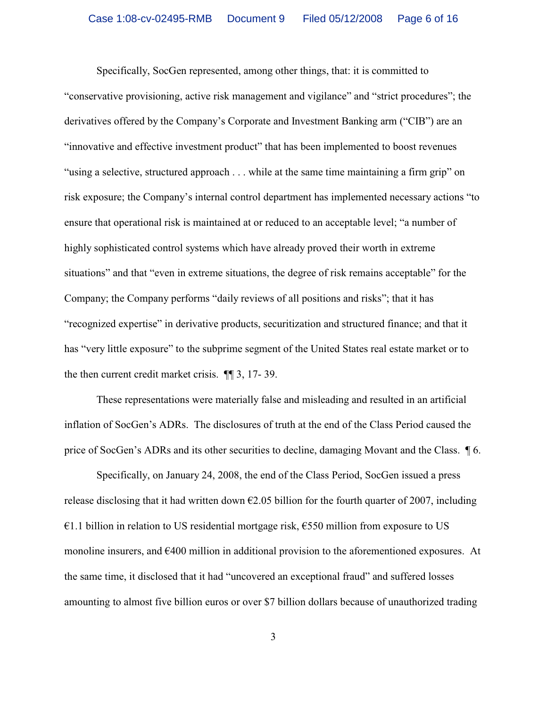Specifically, SocGen represented, among other things, that: it is committed to "conservative provisioning, active risk management and vigilance" and "strict procedures"; the derivatives offered by the Company's Corporate and Investment Banking arm ("CIB") are an "innovative and effective investment product" that has been implemented to boost revenues "using a selective, structured approach . . . while at the same time maintaining a firm grip" on risk exposure; the Company's internal control department has implemented necessary actions "to ensure that operational risk is maintained at or reduced to an acceptable level; "a number of highly sophisticated control systems which have already proved their worth in extreme situations" and that "even in extreme situations, the degree of risk remains acceptable" for the Company; the Company performs "daily reviews of all positions and risks"; that it has "recognized expertise" in derivative products, securitization and structured finance; and that it has "very little exposure" to the subprime segment of the United States real estate market or to the then current credit market crisis. ¶¶ 3, 17- 39.

These representations were materially false and misleading and resulted in an artificial inflation of SocGen's ADRs. The disclosures of truth at the end of the Class Period caused the price of SocGen's ADRs and its other securities to decline, damaging Movant and the Class. ¶ 6.

Specifically, on January 24, 2008, the end of the Class Period, SocGen issued a press release disclosing that it had written down  $\epsilon$ 2.05 billion for the fourth quarter of 2007, including  $€1.1$  billion in relation to US residential mortgage risk,  $€550$  million from exposure to US monoline insurers, and €400 million in additional provision to the aforementioned exposures. At the same time, it disclosed that it had "uncovered an exceptional fraud" and suffered losses amounting to almost five billion euros or over \$7 billion dollars because of unauthorized trading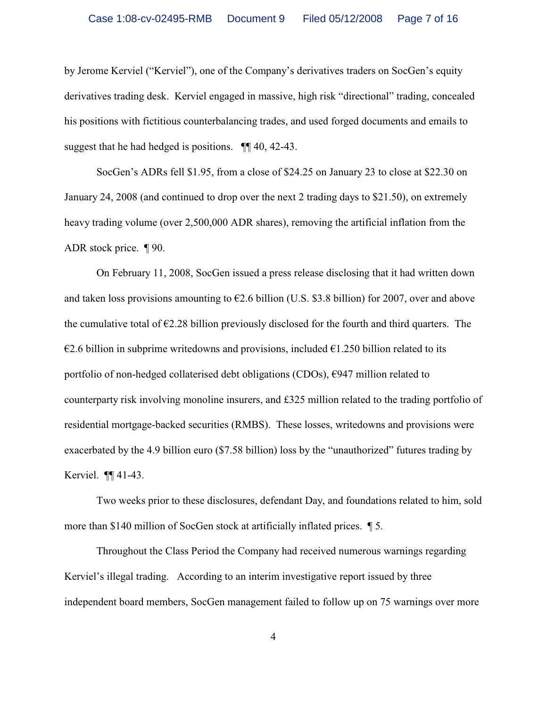by Jerome Kerviel ("Kerviel"), one of the Company's derivatives traders on SocGen's equity derivatives trading desk. Kerviel engaged in massive, high risk "directional" trading, concealed his positions with fictitious counterbalancing trades, and used forged documents and emails to suggest that he had hedged is positions. ¶¶ 40, 42-43.

SocGen's ADRs fell \$1.95, from a close of \$24.25 on January 23 to close at \$22.30 on January 24, 2008 (and continued to drop over the next 2 trading days to \$21.50), on extremely heavy trading volume (over 2,500,000 ADR shares), removing the artificial inflation from the ADR stock price. ¶ 90.

On February 11, 2008, SocGen issued a press release disclosing that it had written down and taken loss provisions amounting to  $\epsilon$ 2.6 billion (U.S. \$3.8 billion) for 2007, over and above the cumulative total of  $\epsilon$ 2.28 billion previously disclosed for the fourth and third quarters. The  $\epsilon$ 2.6 billion in subprime writedowns and provisions, included  $\epsilon$ 1.250 billion related to its portfolio of non-hedged collaterised debt obligations (CDOs),  $\epsilon$ 947 million related to counterparty risk involving monoline insurers, and £325 million related to the trading portfolio of residential mortgage-backed securities (RMBS). These losses, writedowns and provisions were exacerbated by the 4.9 billion euro (\$7.58 billion) loss by the "unauthorized" futures trading by Kerviel. ¶¶ 41-43.

Two weeks prior to these disclosures, defendant Day, and foundations related to him, sold more than \$140 million of SocGen stock at artificially inflated prices.  $\blacksquare$  5.

Throughout the Class Period the Company had received numerous warnings regarding Kerviel's illegal trading. According to an interim investigative report issued by three independent board members, SocGen management failed to follow up on 75 warnings over more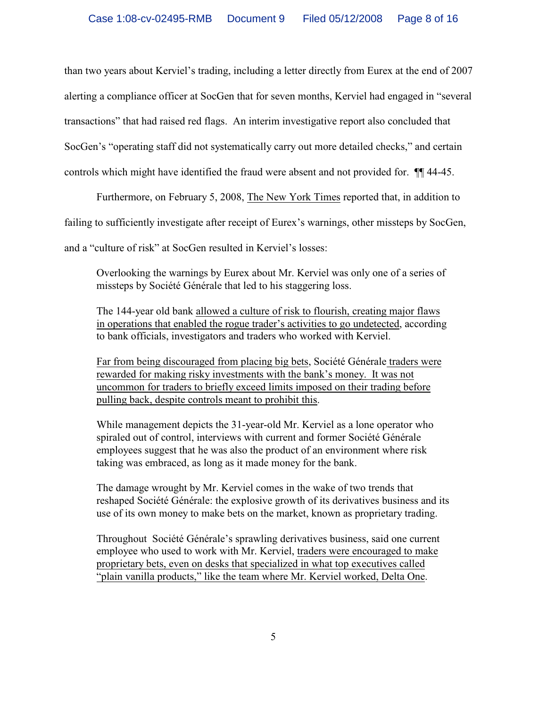than two years about Kerviel's trading, including a letter directly from Eurex at the end of 2007 alerting a compliance officer at SocGen that for seven months, Kerviel had engaged in "several transactions" that had raised red flags. An interim investigative report also concluded that SocGen's "operating staff did not systematically carry out more detailed checks," and certain controls which might have identified the fraud were absent and not provided for. ¶¶ 44-45.

Furthermore, on February 5, 2008, The New York Times reported that, in addition to

failing to sufficiently investigate after receipt of Eurex's warnings, other missteps by SocGen,

and a "culture of risk" at SocGen resulted in Kerviel's losses:

Overlooking the warnings by Eurex about Mr. Kerviel was only one of a series of missteps by Société Générale that led to his staggering loss.

The 144-year old bank allowed a culture of risk to flourish, creating major flaws in operations that enabled the rogue trader's activities to go undetected, according to bank officials, investigators and traders who worked with Kerviel.

Far from being discouraged from placing big bets, Société Générale traders were rewarded for making risky investments with the bank's money. It was not uncommon for traders to briefly exceed limits imposed on their trading before pulling back, despite controls meant to prohibit this.

While management depicts the 31-year-old Mr. Kerviel as a lone operator who spiraled out of control, interviews with current and former Société Générale employees suggest that he was also the product of an environment where risk taking was embraced, as long as it made money for the bank.

The damage wrought by Mr. Kerviel comes in the wake of two trends that reshaped Société Générale: the explosive growth of its derivatives business and its use of its own money to make bets on the market, known as proprietary trading.

Throughout Société Générale's sprawling derivatives business, said one current employee who used to work with Mr. Kerviel, traders were encouraged to make proprietary bets, even on desks that specialized in what top executives called "plain vanilla products," like the team where Mr. Kerviel worked, Delta One.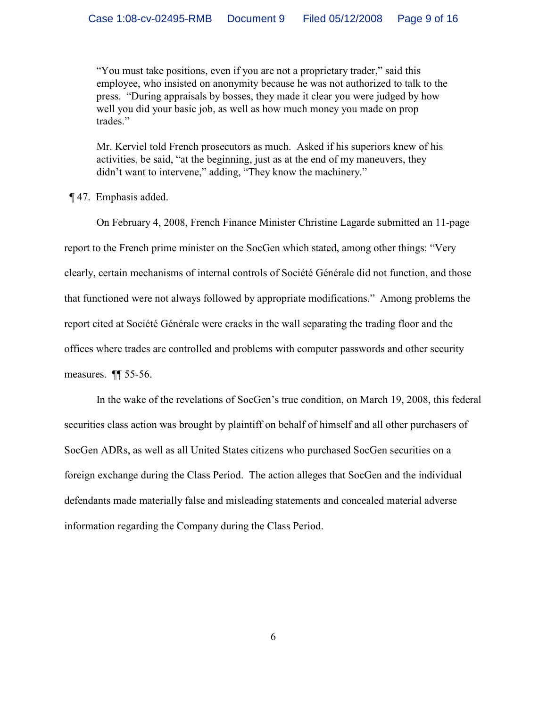"You must take positions, even if you are not a proprietary trader," said this employee, who insisted on anonymity because he was not authorized to talk to the press. "During appraisals by bosses, they made it clear you were judged by how well you did your basic job, as well as how much money you made on prop trades."

Mr. Kerviel told French prosecutors as much. Asked if his superiors knew of his activities, be said, "at the beginning, just as at the end of my maneuvers, they didn't want to intervene," adding, "They know the machinery."

¶ 47. Emphasis added.

On February 4, 2008, French Finance Minister Christine Lagarde submitted an 11-page report to the French prime minister on the SocGen which stated, among other things: "Very clearly, certain mechanisms of internal controls of Société Générale did not function, and those that functioned were not always followed by appropriate modifications." Among problems the report cited at Société Générale were cracks in the wall separating the trading floor and the offices where trades are controlled and problems with computer passwords and other security measures. ¶¶ 55-56.

In the wake of the revelations of SocGen's true condition, on March 19, 2008, this federal securities class action was brought by plaintiff on behalf of himself and all other purchasers of SocGen ADRs, as well as all United States citizens who purchased SocGen securities on a foreign exchange during the Class Period. The action alleges that SocGen and the individual defendants made materially false and misleading statements and concealed material adverse information regarding the Company during the Class Period.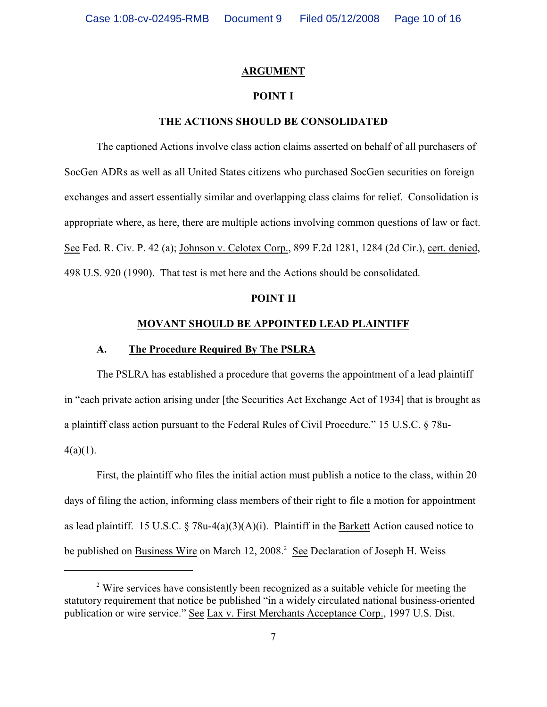#### **ARGUMENT**

#### **POINT I**

#### **THE ACTIONS SHOULD BE CONSOLIDATED**

The captioned Actions involve class action claims asserted on behalf of all purchasers of SocGen ADRs as well as all United States citizens who purchased SocGen securities on foreign exchanges and assert essentially similar and overlapping class claims for relief. Consolidation is appropriate where, as here, there are multiple actions involving common questions of law or fact. See Fed. R. Civ. P. 42 (a); Johnson v. Celotex Corp., 899 F.2d 1281, 1284 (2d Cir.), cert. denied, 498 U.S. 920 (1990). That test is met here and the Actions should be consolidated.

#### **POINT II**

## **MOVANT SHOULD BE APPOINTED LEAD PLAINTIFF**

#### **A. The Procedure Required By The PSLRA**

The PSLRA has established a procedure that governs the appointment of a lead plaintiff in "each private action arising under [the Securities Act Exchange Act of 1934] that is brought as a plaintiff class action pursuant to the Federal Rules of Civil Procedure." 15 U.S.C. § 78u- $4(a)(1)$ .

First, the plaintiff who files the initial action must publish a notice to the class, within 20 days of filing the action, informing class members of their right to file a motion for appointment as lead plaintiff. 15 U.S.C.  $\S 78u-4(a)(3)(A)(i)$ . Plaintiff in the Barkett Action caused notice to be published on Business Wire on March 12, 2008.<sup>2</sup> See Declaration of Joseph H. Weiss

<sup>&</sup>lt;sup>2</sup> Wire services have consistently been recognized as a suitable vehicle for meeting the statutory requirement that notice be published "in a widely circulated national business-oriented publication or wire service." See Lax v. First Merchants Acceptance Corp., 1997 U.S. Dist.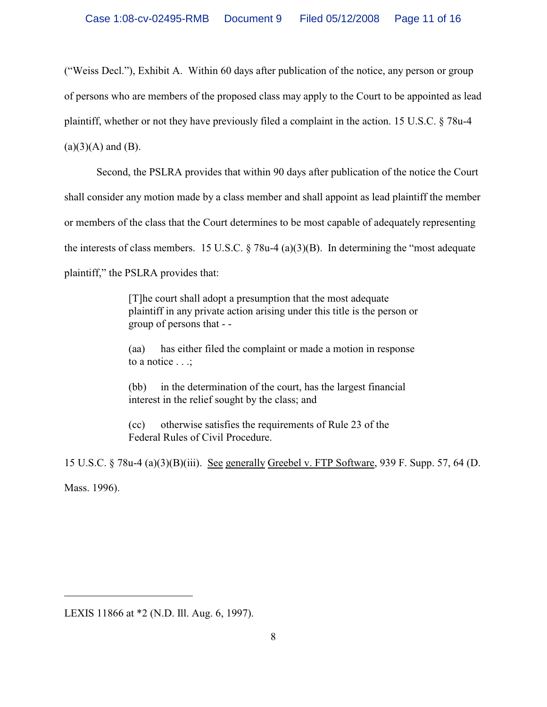("Weiss Decl."), Exhibit A. Within 60 days after publication of the notice, any person or group of persons who are members of the proposed class may apply to the Court to be appointed as lead plaintiff, whether or not they have previously filed a complaint in the action. 15 U.S.C. § 78u-4  $(a)(3)(A)$  and  $(B)$ .

Second, the PSLRA provides that within 90 days after publication of the notice the Court shall consider any motion made by a class member and shall appoint as lead plaintiff the member or members of the class that the Court determines to be most capable of adequately representing the interests of class members. 15 U.S.C.  $\S$  78u-4 (a)(3)(B). In determining the "most adequate" plaintiff," the PSLRA provides that:

> [T]he court shall adopt a presumption that the most adequate plaintiff in any private action arising under this title is the person or group of persons that - -

(aa) has either filed the complaint or made a motion in response to a notice . . .;

(bb) in the determination of the court, has the largest financial interest in the relief sought by the class; and

(cc) otherwise satisfies the requirements of Rule 23 of the Federal Rules of Civil Procedure.

15 U.S.C. § 78u-4 (a)(3)(B)(iii). See generally Greebel v. FTP Software, 939 F. Supp. 57, 64 (D. Mass. 1996).

LEXIS 11866 at \*2 (N.D. Ill. Aug. 6, 1997).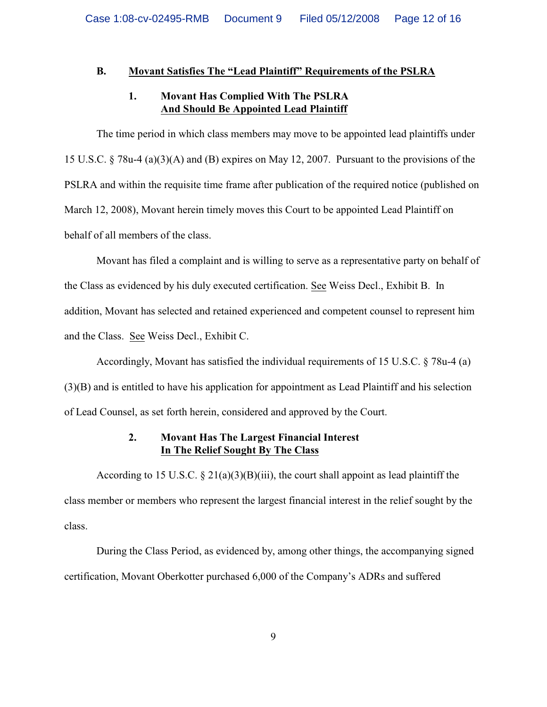# **B. Movant Satisfies The "Lead Plaintiff" Requirements of the PSLRA**

# **1. Movant Has Complied With The PSLRA And Should Be Appointed Lead Plaintiff**

The time period in which class members may move to be appointed lead plaintiffs under 15 U.S.C. § 78u-4 (a)(3)(A) and (B) expires on May 12, 2007. Pursuant to the provisions of the PSLRA and within the requisite time frame after publication of the required notice (published on March 12, 2008), Movant herein timely moves this Court to be appointed Lead Plaintiff on behalf of all members of the class.

Movant has filed a complaint and is willing to serve as a representative party on behalf of the Class as evidenced by his duly executed certification. See Weiss Decl., Exhibit B. In addition, Movant has selected and retained experienced and competent counsel to represent him and the Class. See Weiss Decl., Exhibit C.

Accordingly, Movant has satisfied the individual requirements of 15 U.S.C. § 78u-4 (a) (3)(B) and is entitled to have his application for appointment as Lead Plaintiff and his selection of Lead Counsel, as set forth herein, considered and approved by the Court.

# **2. Movant Has The Largest Financial Interest In The Relief Sought By The Class**

According to 15 U.S.C.  $\S 21(a)(3)(B)(iii)$ , the court shall appoint as lead plaintiff the class member or members who represent the largest financial interest in the relief sought by the class.

During the Class Period, as evidenced by, among other things, the accompanying signed certification, Movant Oberkotter purchased 6,000 of the Company's ADRs and suffered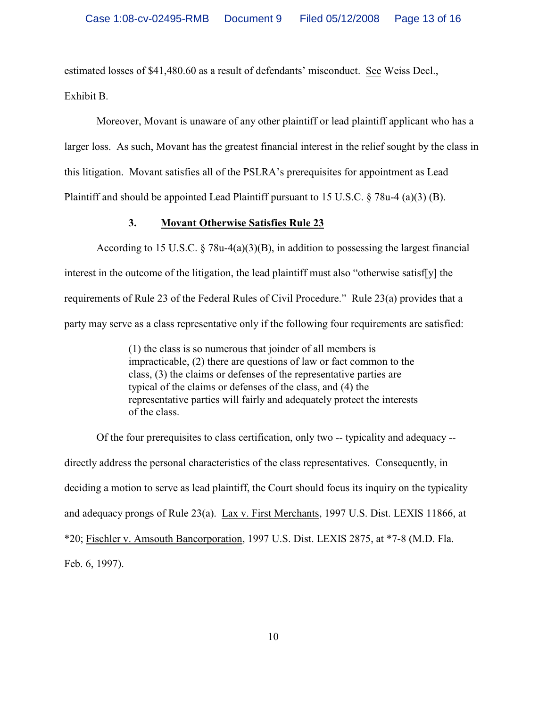estimated losses of \$41,480.60 as a result of defendants' misconduct. See Weiss Decl., Exhibit B.

Moreover, Movant is unaware of any other plaintiff or lead plaintiff applicant who has a larger loss. As such, Movant has the greatest financial interest in the relief sought by the class in this litigation. Movant satisfies all of the PSLRA's prerequisites for appointment as Lead Plaintiff and should be appointed Lead Plaintiff pursuant to 15 U.S.C. § 78u-4 (a)(3) (B).

## **3. Movant Otherwise Satisfies Rule 23**

According to 15 U.S.C. § 78u-4(a)(3)(B), in addition to possessing the largest financial interest in the outcome of the litigation, the lead plaintiff must also "otherwise satisf[y] the requirements of Rule 23 of the Federal Rules of Civil Procedure." Rule 23(a) provides that a party may serve as a class representative only if the following four requirements are satisfied:

> (1) the class is so numerous that joinder of all members is impracticable, (2) there are questions of law or fact common to the class, (3) the claims or defenses of the representative parties are typical of the claims or defenses of the class, and (4) the representative parties will fairly and adequately protect the interests of the class.

Of the four prerequisites to class certification, only two -- typicality and adequacy - directly address the personal characteristics of the class representatives. Consequently, in deciding a motion to serve as lead plaintiff, the Court should focus its inquiry on the typicality and adequacy prongs of Rule 23(a). Lax v. First Merchants, 1997 U.S. Dist. LEXIS 11866, at \*20; Fischler v. Amsouth Bancorporation, 1997 U.S. Dist. LEXIS 2875, at \*7-8 (M.D. Fla. Feb. 6, 1997).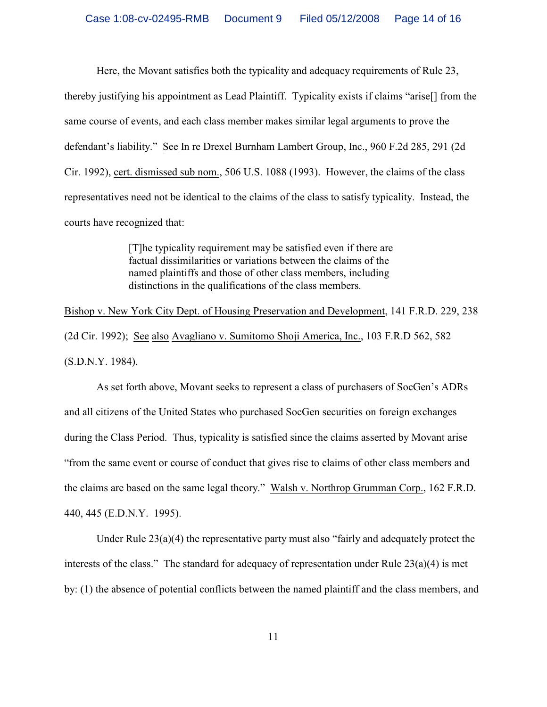Here, the Movant satisfies both the typicality and adequacy requirements of Rule 23, thereby justifying his appointment as Lead Plaintiff. Typicality exists if claims "arise[] from the same course of events, and each class member makes similar legal arguments to prove the defendant's liability." See In re Drexel Burnham Lambert Group, Inc., 960 F.2d 285, 291 (2d Cir. 1992), cert. dismissed sub nom., 506 U.S. 1088 (1993). However, the claims of the class representatives need not be identical to the claims of the class to satisfy typicality. Instead, the courts have recognized that:

> [T]he typicality requirement may be satisfied even if there are factual dissimilarities or variations between the claims of the named plaintiffs and those of other class members, including distinctions in the qualifications of the class members.

Bishop v. New York City Dept. of Housing Preservation and Development, 141 F.R.D. 229, 238 (2d Cir. 1992); See also Avagliano v. Sumitomo Shoji America, Inc., 103 F.R.D 562, 582 (S.D.N.Y. 1984).

As set forth above, Movant seeks to represent a class of purchasers of SocGen's ADRs and all citizens of the United States who purchased SocGen securities on foreign exchanges during the Class Period. Thus, typicality is satisfied since the claims asserted by Movant arise "from the same event or course of conduct that gives rise to claims of other class members and the claims are based on the same legal theory." Walsh v. Northrop Grumman Corp., 162 F.R.D. 440, 445 (E.D.N.Y. 1995).

Under Rule  $23(a)(4)$  the representative party must also "fairly and adequately protect the interests of the class." The standard for adequacy of representation under Rule 23(a)(4) is met by: (1) the absence of potential conflicts between the named plaintiff and the class members, and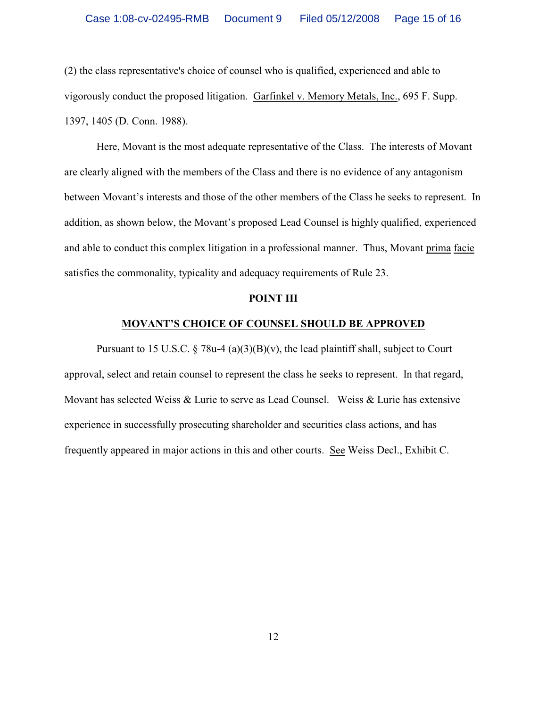(2) the class representative's choice of counsel who is qualified, experienced and able to vigorously conduct the proposed litigation. Garfinkel v. Memory Metals, Inc., 695 F. Supp. 1397, 1405 (D. Conn. 1988).

Here, Movant is the most adequate representative of the Class. The interests of Movant are clearly aligned with the members of the Class and there is no evidence of any antagonism between Movant's interests and those of the other members of the Class he seeks to represent. In addition, as shown below, the Movant's proposed Lead Counsel is highly qualified, experienced and able to conduct this complex litigation in a professional manner. Thus, Movant prima facie satisfies the commonality, typicality and adequacy requirements of Rule 23.

#### **POINT III**

## **MOVANT'S CHOICE OF COUNSEL SHOULD BE APPROVED**

Pursuant to 15 U.S.C.  $\S$  78u-4 (a)(3)(B)(v), the lead plaintiff shall, subject to Court approval, select and retain counsel to represent the class he seeks to represent. In that regard, Movant has selected Weiss & Lurie to serve as Lead Counsel. Weiss & Lurie has extensive experience in successfully prosecuting shareholder and securities class actions, and has frequently appeared in major actions in this and other courts. See Weiss Decl., Exhibit C.